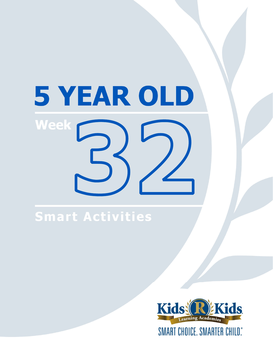# 5 YEAR OLD Week

# **Smart Activities**

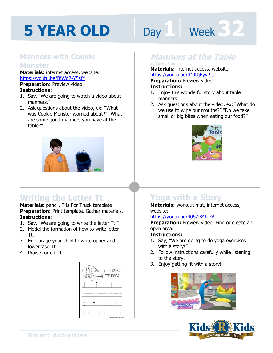# Day 1 | Week 32

### **Manners with Cookie Monster**

**Materials:** internet access, website: https://youtu.be/BjWd2-Y5stY **Preparation:** Preview video.

#### **Instructions:**

- 1. Say, "We are going to watch a video about manners."
- 2. Ask questions about the video, ex: "What was Cookie Monster worried about?" "What are some good manners you have at the table?"



# **Writing the Letter Tt**

**Materials:** pencil, T is For Truck template **Preparation:** Print template. Gather materials. **Instructions:** 

- 1. Say, "We are going to write the letter Tt."
- 2. Model the formation of how to write letter Tt.
- 3. Encourage your child to write upper and lowercase Tt.
- 4. Praise for effort.



## **Manners at the Table**

### **by Carrie Finn**

**Materials:** internet access, website:

**https://youtu.be/tD9UjEyyPjs<br><b>Preparation:** Preview video.<br>**Instructions:**<br>1 Faisy this wonderful stary shout tabl **Preparation:** Preview video. **Instructions:** 

- 1. Enjoy this wonderful story about table manners.
- 2. Ask questions about the video, ex: "What do we use to wipe our mouths?" "Do we take small or big bites when eating our food?"



# **Yoga with a Story**

**Materials:** workout mat, internet access, website:

#### https://youtu.be/40SZl84Lr7A

**Preparation:** Preview video. Find or create an open area.

#### **Instructions:**

- 1. Say, "We are going to do yoga exercises with a story!"
- 2. Follow instructions carefully while listening to the story.
- 3. Enjoy getting fit with a story!





**Smart Activities**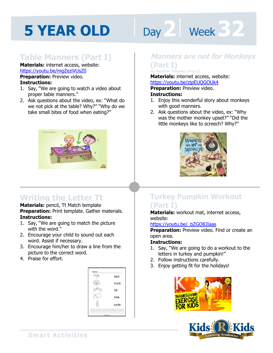# Day 2 **Week 32**

## **Table Manners (Part I)**

**Materials:** internet access, website: https://youtu.be/mgZeziVUsZ0

**Preparation: Preview video. Instructions:** 

- 1. Say, "We are going to watch a video about proper table manners."
- 2. Ask questions about the video, ex: "What do we not pick at the table? Why?" "Why do we take small bites of food when eating?"



# **Writing the Letter Tt**

**Materials:** pencil, Tt Match template **Preparation:** Print template. Gather materials. **Instructions:** 

- 1. Say, "We are going to match the picture with the word."
- 2. Encourage your child to sound out each word. Assist if necessary.
- 3. Encourage him/her to draw a line from the picture to the correct word.
- 4. Praise for effort.



### **Manners are not for Monkeys (Part I)**

#### **by Heather Tekavec (Part I)**

Materials: internet access, website:<br>https://youtu.be/zjpEUQGOUk4<br>**Preparation:** Preview video. https://youtu.be/zjpEUQGOUk4

**Preparation:** Preview video.

#### **Instructions:**

- 1. Enjoy this wonderful story about monkeys with good manners.
- 2. Ask questions about the video, ex: "Why was the mother monkey upset?" "Did the little monkeys like to screech? Why?"



### **Turkey Pumpkin Workout (Part I)**

**Materials:** workout mat, internet access, website:

#### https://youtu.be/\_bZGO8JIaas

**Preparation:** Preview video. Find or create an open area.

- 1. Say, "We are going to do a workout to the letters in turkey and pumpkin!"
- 2. Follow instructions carefully.
- 3. Enjoy getting fit for the holidays!



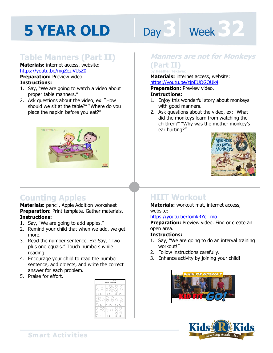# **Day 3** Week 32

### **Table Manners (Part II)**

#### **Materials:** internet access, website: https://youtu.be/mgZeziVUsZ0

**Preparation:** Preview video. **Instructions:** 

- 1. Say, "We are going to watch a video about proper table manners."
- 2. Ask questions about the video, ex: "How should we sit at the table?" "Where do you place the napkin before you eat?"



# **Counting Apples**

**Materials:** pencil, Apple Addition worksheet **Preparation:** Print template. Gather materials. **Instructions:** 

- 1. Say, "We are going to add apples."
- 2. Remind your child that when we add, we get more.
- 3. Read the number sentence. Ex: Say, "Two plus one equals." Touch numbers while reading.
- 4. Encourage your child to read the number sentence, add objects, and write the correct answer for each problem.
- 5. Praise for effort.



### **Manners are not for Monkeys (Part II)**

Materials: internet access, website:<br>https://youtu.be/zjpEUQGOUk4<br>**Preparation:** Preview video. **by Heather Tekavec** 

https://youtu.be/zjpEUQGOUk4

**Preparation:** Preview video.

#### **Instructions:**

- 1. Enjoy this wonderful story about monkeys with good manners.
- 2. Ask questions about the video, ex: "What did the monkeys learn from watching the children?" "Why was the mother monkey's ear hurting?"



# **HIIT Workout**

**Materials:** workout mat, internet access, website:

#### https://youtu.be/fomkRYcl\_mo

**Preparation:** Preview video. Find or create an open area.

- 1. Say, "We are going to do an interval training workout!"
- 2. Follow instructions carefully.
- 3. Enhance activity by joining your child!



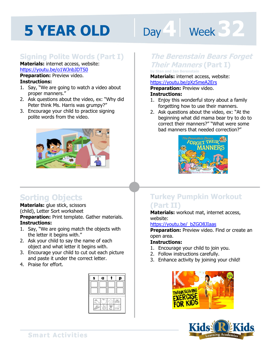# Day **4 Week 32**

### **Signing Polite Words (Part I)**

**Materials:** internet access, website: https://youtu.be/o1WJnbJDTS0

**Preparation:** Preview video. **Instructions:** 

- 1. Say, "We are going to watch a video about proper manners."
- 2. Ask questions about the video, ex: "Why did Peter think Ms. Harris was grumpy?"
- 3. Encourage your child to practice signing polite words from the video.



# **Sorting Objects**

**Materials:** glue stick, scissors (child), Letter Sort worksheet **Preparation:** Print template. Gather materials. **Instructions:** 

- 1. Say, "We are going match the objects with the letter it begins with."
- 2. Ask your child to say the name of each object and what letter it begins with.
- 3. Encourage your child to cut out each picture and paste it under the correct letter.
- 4. Praise for effort.



### **The Berenstain Bears Forget Their Manners (Part I)**

**by Stan and Jan Berenstain** 

Materials: internet access, website:<br>https://youtu.be/pXz5meA2Ers<br>**Preparation:** Preview video. https://youtu.be/pXz5meA2Ers

**Preparation:** Preview video.

#### **Instructions:**

- 1. Enjoy this wonderful story about a family forgetting how to use their manners.
- 2. Ask questions about the video, ex: "At the beginning what did mama bear try to do to correct their manners?" "What were some bad manners that needed correction?"



### **Turkey Pumpkin Workout (Part II)**

**Materials:** workout mat, internet access, website:

#### https://youtu.be/\_bZGO8JIaas

**Preparation:** Preview video. Find or create an open area.

- 1. Encourage your child to join you.
- 2. Follow instructions carefully.
- 3. Enhance activity by joining your child!



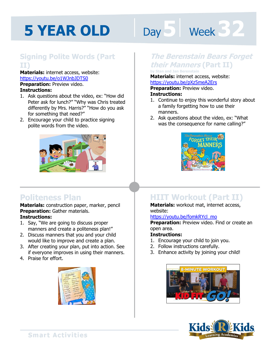# Day 5 **Week 32**

### **Signing Polite Words (Part II)**

**Materials:** internet access, website: https://youtu.be/o1WJnbJDTS0 **Preparation:** Preview video. **Instructions:** 

- 1. Ask questions about the video, ex: "How did Peter ask for lunch?" "Why was Chris treated differently by Mrs. Harris?" "How do you ask for something that need?"
- 2. Encourage your child to practice signing polite words from the video.



### **Politeness Plan**

**Materials:** construction paper, marker, pencil **Preparation:** Gather materials. **Instructions:** 

- 1. Say, "We are going to discuss proper manners and create a politeness plan!"
- 2. Discuss manners that you and your child would like to improve and create a plan.
- 3. After creating your plan, put into action. See if everyone improves in using their manners.
- 4. Praise for effort.



### **The Berenstain Bears Forget their Manners (Part II)**

#### **by Stan and Jan Berenstain**

Materials: internet access, website:<br>https://youtu.be/pXz5meA2Ers<br>**Preparation:** Preview video. https://youtu.be/pXz5meA2Ers

**Preparation:** Preview video.

#### **Instructions:**

- 1. Continue to enjoy this wonderful story about a family forgetting how to use their manners.
- 2. Ask questions about the video, ex: "What was the consequence for name calling?"



# **HIIT Workout (Part II)**

**Materials:** workout mat, internet access, website:

#### https://youtu.be/fomkRYcl\_mo

**Preparation:** Preview video. Find or create an open area.

- 1. Encourage your child to join you.
- 2. Follow instructions carefully.
- 3. Enhance activity by joining your child!



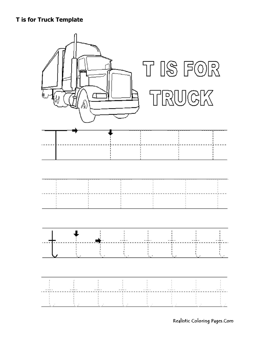#### **T** is for Truck Template



Realistic Coloring Pages.Com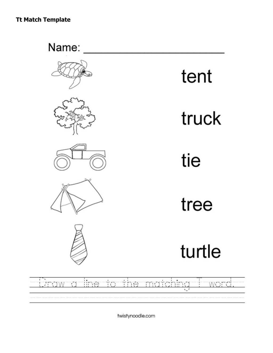Name:











tent

# truck

tie

tree

# turtle

#### line to the matching word. biraw a l

twistynoodle.com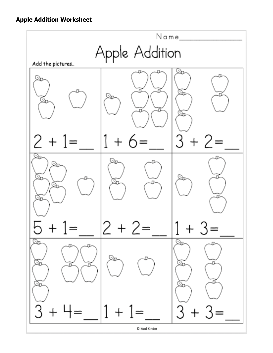